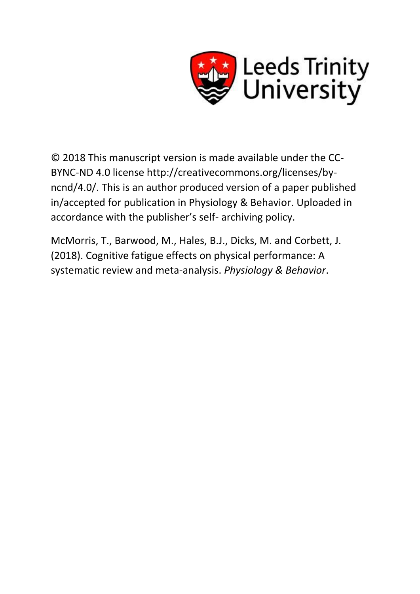

© 2018 This manuscript version is made available under the CC-BYNC-ND 4.0 license http://creativecommons.org/licenses/byncnd/4.0/. This is an author produced version of a paper published in/accepted for publication in Physiology & Behavior. Uploaded in accordance with the publisher's self- archiving policy.

McMorris, T., Barwood, M., Hales, B.J., Dicks, M. and Corbett, J. (2018). Cognitive fatigue effects on physical performance: A systematic review and meta-analysis. *Physiology & Behavior*.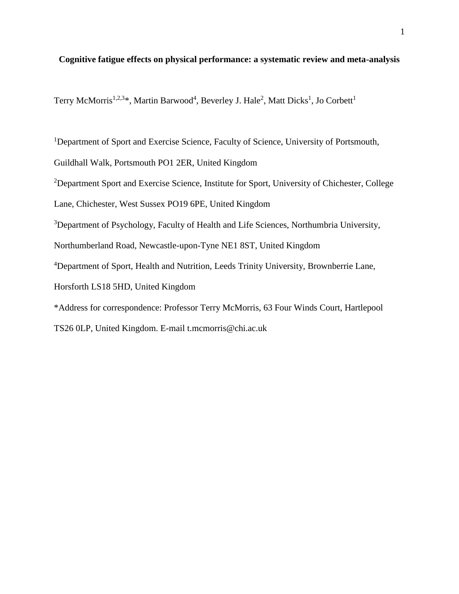# **Cognitive fatigue effects on physical performance: a systematic review and meta-analysis**

Terry McMorris<sup>1,2,3\*</sup>, Martin Barwood<sup>4</sup>, Beverley J. Hale<sup>2</sup>, Matt Dicks<sup>1</sup>, Jo Corbett<sup>1</sup>

<sup>1</sup>Department of Sport and Exercise Science, Faculty of Science, University of Portsmouth,

Guildhall Walk, Portsmouth PO1 2ER, United Kingdom

<sup>2</sup>Department Sport and Exercise Science, Institute for Sport, University of Chichester, College

Lane, Chichester, West Sussex PO19 6PE, United Kingdom

<sup>3</sup>Department of Psychology, Faculty of Health and Life Sciences, Northumbria University,

Northumberland Road, Newcastle-upon-Tyne NE1 8ST, United Kingdom

<sup>4</sup>Department of Sport, Health and Nutrition, Leeds Trinity University, Brownberrie Lane,

Horsforth LS18 5HD, United Kingdom

\*Address for correspondence: Professor Terry McMorris, 63 Four Winds Court, Hartlepool

TS26 0LP, United Kingdom. E-mail t.mcmorris@chi.ac.uk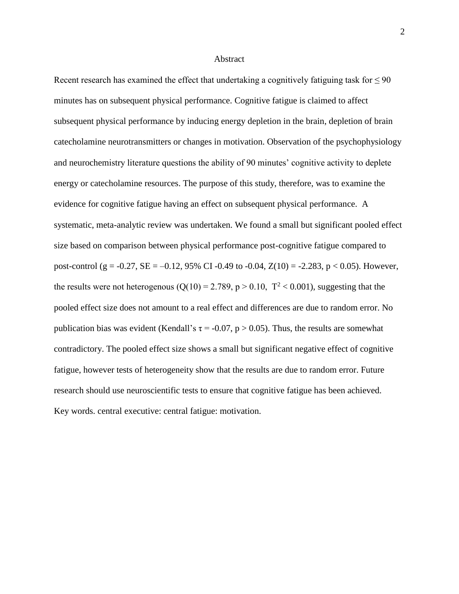#### Abstract

Recent research has examined the effect that undertaking a cognitively fatiguing task for  $\leq 90$ minutes has on subsequent physical performance. Cognitive fatigue is claimed to affect subsequent physical performance by inducing energy depletion in the brain, depletion of brain catecholamine neurotransmitters or changes in motivation. Observation of the psychophysiology and neurochemistry literature questions the ability of 90 minutes' cognitive activity to deplete energy or catecholamine resources. The purpose of this study, therefore, was to examine the evidence for cognitive fatigue having an effect on subsequent physical performance. A systematic, meta-analytic review was undertaken. We found a small but significant pooled effect size based on comparison between physical performance post-cognitive fatigue compared to post-control (g = -0.27, SE = -0.12, 95% CI -0.49 to -0.04,  $Z(10) = -2.283$ , p < 0.05). However, the results were not heterogenous ( $Q(10) = 2.789$ ,  $p > 0.10$ ,  $T^2 < 0.001$ ), suggesting that the pooled effect size does not amount to a real effect and differences are due to random error. No publication bias was evident (Kendall's  $\tau = -0.07$ , p  $> 0.05$ ). Thus, the results are somewhat contradictory. The pooled effect size shows a small but significant negative effect of cognitive fatigue, however tests of heterogeneity show that the results are due to random error. Future research should use neuroscientific tests to ensure that cognitive fatigue has been achieved. Key words. central executive: central fatigue: motivation.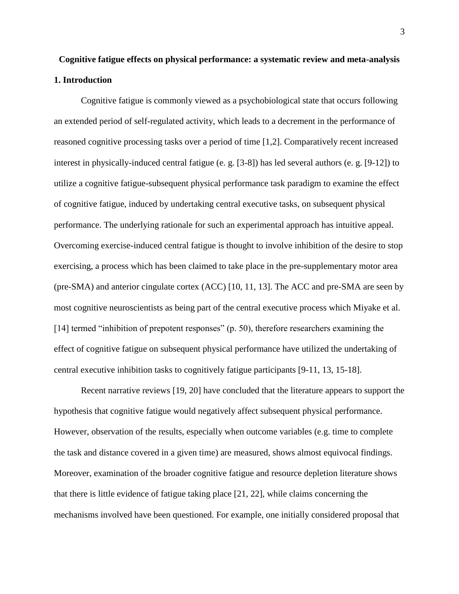# **Cognitive fatigue effects on physical performance: a systematic review and meta-analysis 1. Introduction**

Cognitive fatigue is commonly viewed as a psychobiological state that occurs following an extended period of self-regulated activity, which leads to a decrement in the performance of reasoned cognitive processing tasks over a period of time [1,2]. Comparatively recent increased interest in physically-induced central fatigue (e. g. [3-8]) has led several authors (e. g. [9-12]) to utilize a cognitive fatigue-subsequent physical performance task paradigm to examine the effect of cognitive fatigue, induced by undertaking central executive tasks, on subsequent physical performance. The underlying rationale for such an experimental approach has intuitive appeal. Overcoming exercise-induced central fatigue is thought to involve inhibition of the desire to stop exercising, a process which has been claimed to take place in the pre-supplementary motor area (pre-SMA) and anterior cingulate cortex (ACC) [10, 11, 13]. The ACC and pre-SMA are seen by most cognitive neuroscientists as being part of the central executive process which Miyake et al. [14] termed "inhibition of prepotent responses" (p. 50), therefore researchers examining the effect of cognitive fatigue on subsequent physical performance have utilized the undertaking of central executive inhibition tasks to cognitively fatigue participants [9-11, 13, 15-18].

Recent narrative reviews [19, 20] have concluded that the literature appears to support the hypothesis that cognitive fatigue would negatively affect subsequent physical performance. However, observation of the results, especially when outcome variables (e.g. time to complete the task and distance covered in a given time) are measured, shows almost equivocal findings. Moreover, examination of the broader cognitive fatigue and resource depletion literature shows that there is little evidence of fatigue taking place [21, 22], while claims concerning the mechanisms involved have been questioned. For example, one initially considered proposal that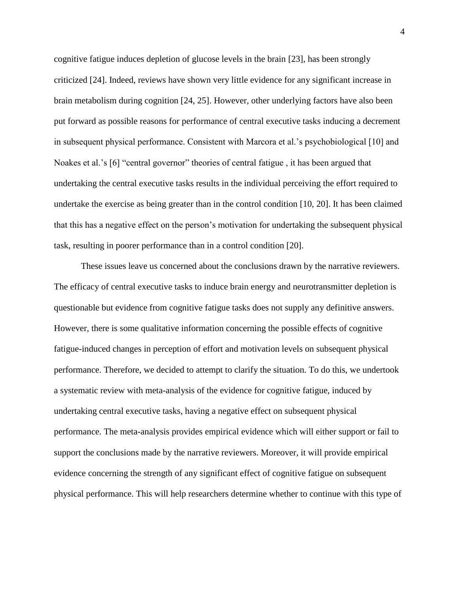cognitive fatigue induces depletion of glucose levels in the brain [23], has been strongly criticized [24]. Indeed, reviews have shown very little evidence for any significant increase in brain metabolism during cognition [24, 25]. However, other underlying factors have also been put forward as possible reasons for performance of central executive tasks inducing a decrement in subsequent physical performance. Consistent with Marcora et al.'s psychobiological [10] and Noakes et al.'s [6] "central governor" theories of central fatigue, it has been argued that undertaking the central executive tasks results in the individual perceiving the effort required to undertake the exercise as being greater than in the control condition [10, 20]. It has been claimed that this has a negative effect on the person's motivation for undertaking the subsequent physical task, resulting in poorer performance than in a control condition [20].

These issues leave us concerned about the conclusions drawn by the narrative reviewers. The efficacy of central executive tasks to induce brain energy and neurotransmitter depletion is questionable but evidence from cognitive fatigue tasks does not supply any definitive answers. However, there is some qualitative information concerning the possible effects of cognitive fatigue-induced changes in perception of effort and motivation levels on subsequent physical performance. Therefore, we decided to attempt to clarify the situation. To do this, we undertook a systematic review with meta-analysis of the evidence for cognitive fatigue, induced by undertaking central executive tasks, having a negative effect on subsequent physical performance. The meta-analysis provides empirical evidence which will either support or fail to support the conclusions made by the narrative reviewers. Moreover, it will provide empirical evidence concerning the strength of any significant effect of cognitive fatigue on subsequent physical performance. This will help researchers determine whether to continue with this type of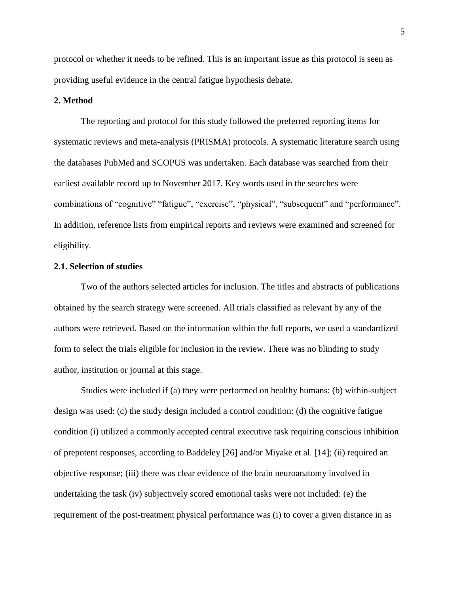protocol or whether it needs to be refined. This is an important issue as this protocol is seen as providing useful evidence in the central fatigue hypothesis debate.

# **2. Method**

The reporting and protocol for this study followed the preferred reporting items for systematic reviews and meta-analysis (PRISMA) protocols. A systematic literature search using the databases PubMed and SCOPUS was undertaken. Each database was searched from their earliest available record up to November 2017. Key words used in the searches were combinations of "cognitive" "fatigue", "exercise", "physical", "subsequent" and "performance". In addition, reference lists from empirical reports and reviews were examined and screened for eligibility.

# **2.1. Selection of studies**

Two of the authors selected articles for inclusion. The titles and abstracts of publications obtained by the search strategy were screened. All trials classified as relevant by any of the authors were retrieved. Based on the information within the full reports, we used a standardized form to select the trials eligible for inclusion in the review. There was no blinding to study author, institution or journal at this stage.

Studies were included if (a) they were performed on healthy humans: (b) within-subject design was used: (c) the study design included a control condition: (d) the cognitive fatigue condition (i) utilized a commonly accepted central executive task requiring conscious inhibition of prepotent responses, according to Baddeley [26] and/or Miyake et al. [14]; (ii) required an objective response; (iii) there was clear evidence of the brain neuroanatomy involved in undertaking the task (iv) subjectively scored emotional tasks were not included: (e) the requirement of the post-treatment physical performance was (i) to cover a given distance in as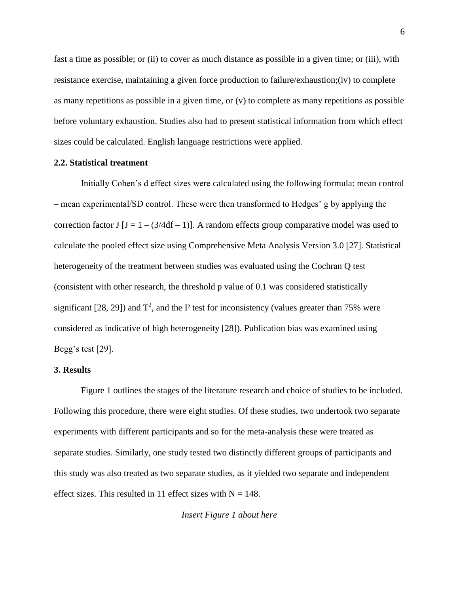fast a time as possible; or (ii) to cover as much distance as possible in a given time; or (iii), with resistance exercise, maintaining a given force production to failure/exhaustion;(iv) to complete as many repetitions as possible in a given time, or (v) to complete as many repetitions as possible before voluntary exhaustion. Studies also had to present statistical information from which effect sizes could be calculated. English language restrictions were applied.

# **2.2. Statistical treatment**

Initially Cohen's d effect sizes were calculated using the following formula: mean control – mean experimental/SD control. These were then transformed to Hedges' g by applying the correction factor J  $[J = 1 - (3/4df - 1)]$ . A random effects group comparative model was used to calculate the pooled effect size using Comprehensive Meta Analysis Version 3.0 [27]. Statistical heterogeneity of the treatment between studies was evaluated using the Cochran Q test (consistent with other research, the threshold p value of 0.1 was considered statistically significant [28, 29]) and  $T^2$ , and the  $I^2$  test for inconsistency (values greater than 75% were considered as indicative of high heterogeneity [28]). Publication bias was examined using Begg's test [29].

# **3. Results**

Figure 1 outlines the stages of the literature research and choice of studies to be included. Following this procedure, there were eight studies. Of these studies, two undertook two separate experiments with different participants and so for the meta-analysis these were treated as separate studies. Similarly, one study tested two distinctly different groups of participants and this study was also treated as two separate studies, as it yielded two separate and independent effect sizes. This resulted in 11 effect sizes with  $N = 148$ .

*Insert Figure 1 about here*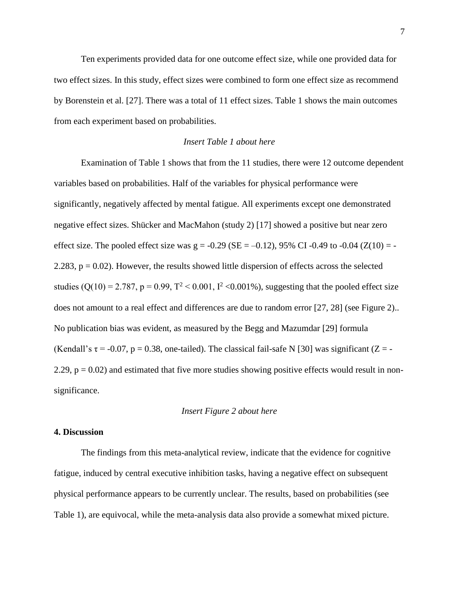Ten experiments provided data for one outcome effect size, while one provided data for two effect sizes. In this study, effect sizes were combined to form one effect size as recommend by Borenstein et al. [27]. There was a total of 11 effect sizes. Table 1 shows the main outcomes from each experiment based on probabilities.

# *Insert Table 1 about here*

Examination of Table 1 shows that from the 11 studies, there were 12 outcome dependent variables based on probabilities. Half of the variables for physical performance were significantly, negatively affected by mental fatigue. All experiments except one demonstrated negative effect sizes. Shücker and MacMahon (study 2) [17] showed a positive but near zero effect size. The pooled effect size was  $g = -0.29$  (SE =  $-0.12$ ), 95% CI -0.49 to -0.04 (Z(10) = -2.283,  $p = 0.02$ ). However, the results showed little dispersion of effects across the selected studies (Q(10) = 2.787, p = 0.99,  $T^2$  < 0.001,  $I^2$  < 0.001%), suggesting that the pooled effect size does not amount to a real effect and differences are due to random error [27, 28] (see Figure 2).. No publication bias was evident, as measured by the Begg and Mazumdar [29] formula (Kendall's  $\tau$  = -0.07, p = 0.38, one-tailed). The classical fail-safe N [30] was significant (Z = -2.29,  $p = 0.02$ ) and estimated that five more studies showing positive effects would result in nonsignificance.

#### *Insert Figure 2 about here*

#### **4. Discussion**

The findings from this meta-analytical review, indicate that the evidence for cognitive fatigue, induced by central executive inhibition tasks, having a negative effect on subsequent physical performance appears to be currently unclear. The results, based on probabilities (see Table 1), are equivocal, while the meta-analysis data also provide a somewhat mixed picture.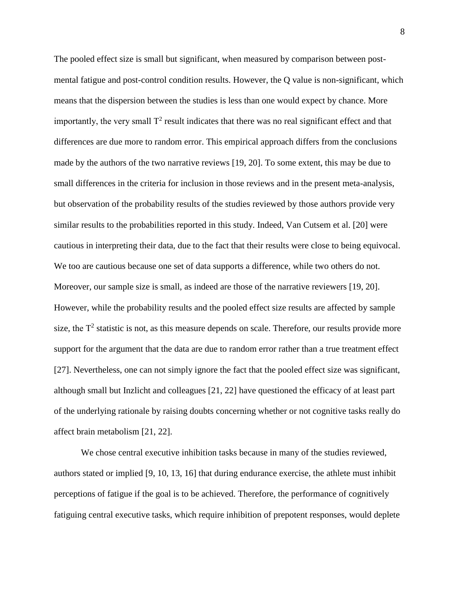The pooled effect size is small but significant, when measured by comparison between postmental fatigue and post-control condition results. However, the Q value is non-significant, which means that the dispersion between the studies is less than one would expect by chance. More importantly, the very small  $T^2$  result indicates that there was no real significant effect and that differences are due more to random error. This empirical approach differs from the conclusions made by the authors of the two narrative reviews [19, 20]. To some extent, this may be due to small differences in the criteria for inclusion in those reviews and in the present meta-analysis, but observation of the probability results of the studies reviewed by those authors provide very similar results to the probabilities reported in this study. Indeed, Van Cutsem et al. [20] were cautious in interpreting their data, due to the fact that their results were close to being equivocal. We too are cautious because one set of data supports a difference, while two others do not. Moreover, our sample size is small, as indeed are those of the narrative reviewers [19, 20]. However, while the probability results and the pooled effect size results are affected by sample size, the  $T<sup>2</sup>$  statistic is not, as this measure depends on scale. Therefore, our results provide more support for the argument that the data are due to random error rather than a true treatment effect [27]. Nevertheless, one can not simply ignore the fact that the pooled effect size was significant, although small but Inzlicht and colleagues [21, 22] have questioned the efficacy of at least part of the underlying rationale by raising doubts concerning whether or not cognitive tasks really do affect brain metabolism [21, 22].

We chose central executive inhibition tasks because in many of the studies reviewed, authors stated or implied [9, 10, 13, 16] that during endurance exercise, the athlete must inhibit perceptions of fatigue if the goal is to be achieved. Therefore, the performance of cognitively fatiguing central executive tasks, which require inhibition of prepotent responses, would deplete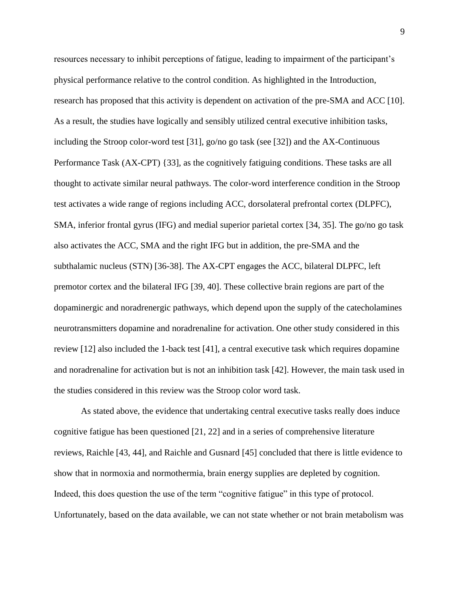resources necessary to inhibit perceptions of fatigue, leading to impairment of the participant's physical performance relative to the control condition. As highlighted in the Introduction, research has proposed that this activity is dependent on activation of the pre-SMA and ACC [10]. As a result, the studies have logically and sensibly utilized central executive inhibition tasks, including the Stroop color-word test [31], go/no go task (see [32]) and the AX-Continuous Performance Task (AX-CPT) {33], as the cognitively fatiguing conditions. These tasks are all thought to activate similar neural pathways. The color-word interference condition in the Stroop test activates a wide range of regions including ACC, dorsolateral prefrontal cortex (DLPFC), SMA, inferior frontal gyrus (IFG) and medial superior parietal cortex [34, 35]. The go/no go task also activates the ACC, SMA and the right IFG but in addition, the pre-SMA and the subthalamic nucleus (STN) [36-38]. The AX-CPT engages the ACC, bilateral DLPFC, left premotor cortex and the bilateral IFG [39, 40]. These collective brain regions are part of the dopaminergic and noradrenergic pathways, which depend upon the supply of the catecholamines neurotransmitters dopamine and noradrenaline for activation. One other study considered in this review [12] also included the 1-back test [41], a central executive task which requires dopamine and noradrenaline for activation but is not an inhibition task [42]. However, the main task used in the studies considered in this review was the Stroop color word task.

As stated above, the evidence that undertaking central executive tasks really does induce cognitive fatigue has been questioned [21, 22] and in a series of comprehensive literature reviews, Raichle [43, 44], and Raichle and Gusnard [45] concluded that there is little evidence to show that in normoxia and normothermia, brain energy supplies are depleted by cognition. Indeed, this does question the use of the term "cognitive fatigue" in this type of protocol. Unfortunately, based on the data available, we can not state whether or not brain metabolism was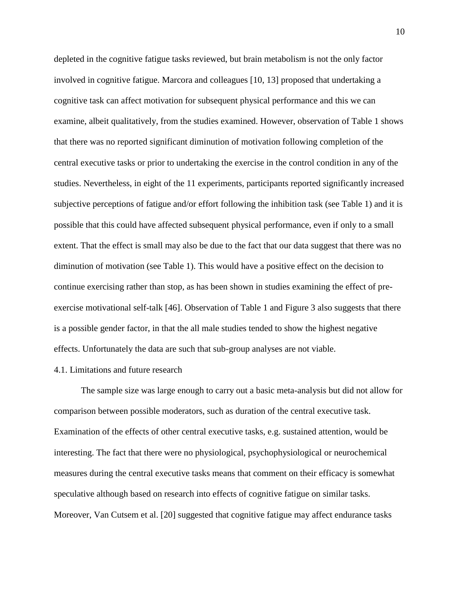depleted in the cognitive fatigue tasks reviewed, but brain metabolism is not the only factor involved in cognitive fatigue. Marcora and colleagues [10, 13] proposed that undertaking a cognitive task can affect motivation for subsequent physical performance and this we can examine, albeit qualitatively, from the studies examined. However, observation of Table 1 shows that there was no reported significant diminution of motivation following completion of the central executive tasks or prior to undertaking the exercise in the control condition in any of the studies. Nevertheless, in eight of the 11 experiments, participants reported significantly increased subjective perceptions of fatigue and/or effort following the inhibition task (see Table 1) and it is possible that this could have affected subsequent physical performance, even if only to a small extent. That the effect is small may also be due to the fact that our data suggest that there was no diminution of motivation (see Table 1). This would have a positive effect on the decision to continue exercising rather than stop, as has been shown in studies examining the effect of preexercise motivational self-talk [46]. Observation of Table 1 and Figure 3 also suggests that there is a possible gender factor, in that the all male studies tended to show the highest negative effects. Unfortunately the data are such that sub-group analyses are not viable.

# 4.1. Limitations and future research

The sample size was large enough to carry out a basic meta-analysis but did not allow for comparison between possible moderators, such as duration of the central executive task. Examination of the effects of other central executive tasks, e.g. sustained attention, would be interesting. The fact that there were no physiological, psychophysiological or neurochemical measures during the central executive tasks means that comment on their efficacy is somewhat speculative although based on research into effects of cognitive fatigue on similar tasks. Moreover, Van Cutsem et al. [20] suggested that cognitive fatigue may affect endurance tasks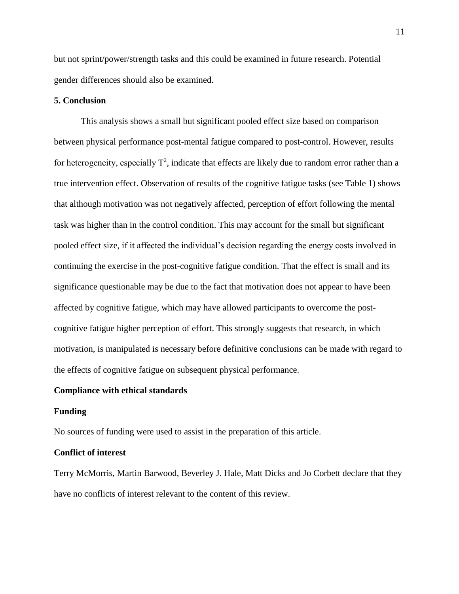but not sprint/power/strength tasks and this could be examined in future research. Potential gender differences should also be examined.

# **5. Conclusion**

This analysis shows a small but significant pooled effect size based on comparison between physical performance post-mental fatigue compared to post-control. However, results for heterogeneity, especially  $T^2$ , indicate that effects are likely due to random error rather than a true intervention effect. Observation of results of the cognitive fatigue tasks (see Table 1) shows that although motivation was not negatively affected, perception of effort following the mental task was higher than in the control condition. This may account for the small but significant pooled effect size, if it affected the individual's decision regarding the energy costs involved in continuing the exercise in the post-cognitive fatigue condition. That the effect is small and its significance questionable may be due to the fact that motivation does not appear to have been affected by cognitive fatigue, which may have allowed participants to overcome the postcognitive fatigue higher perception of effort. This strongly suggests that research, in which motivation, is manipulated is necessary before definitive conclusions can be made with regard to the effects of cognitive fatigue on subsequent physical performance.

#### **Compliance with ethical standards**

#### **Funding**

No sources of funding were used to assist in the preparation of this article.

# **Conflict of interest**

Terry McMorris, Martin Barwood, Beverley J. Hale, Matt Dicks and Jo Corbett declare that they have no conflicts of interest relevant to the content of this review.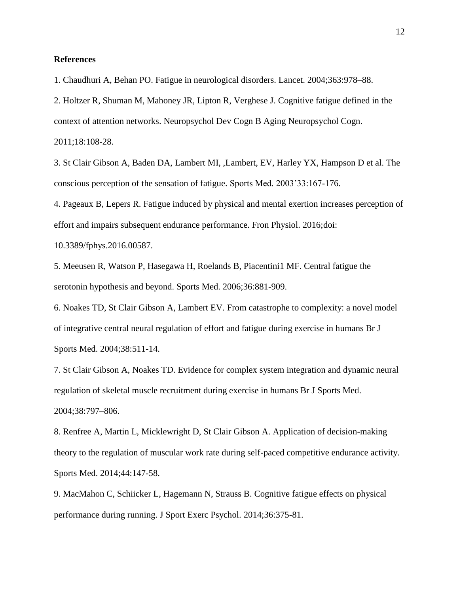# **References**

1. Chaudhuri A, Behan PO. Fatigue in neurological disorders. Lancet. 2004;363:978–88.

2. [Holtzer R,](https://www.ncbi.nlm.nih.gov/pubmed/?term=Holtzer%20R%5BAuthor%5D&cauthor=true&cauthor_uid=21128132) [Shuman M,](https://www.ncbi.nlm.nih.gov/pubmed/?term=Shuman%20M%5BAuthor%5D&cauthor=true&cauthor_uid=21128132) [Mahoney JR,](https://www.ncbi.nlm.nih.gov/pubmed/?term=Mahoney%20JR%5BAuthor%5D&cauthor=true&cauthor_uid=21128132) [Lipton R,](https://www.ncbi.nlm.nih.gov/pubmed/?term=Lipton%20R%5BAuthor%5D&cauthor=true&cauthor_uid=21128132) [Verghese J.](https://www.ncbi.nlm.nih.gov/pubmed/?term=Verghese%20J%5BAuthor%5D&cauthor=true&cauthor_uid=21128132) Cognitive fatigue defined in the

context of attention networks. [Neuropsychol Dev Cogn B Aging Neuropsychol Cogn.](https://www.ncbi.nlm.nih.gov/pubmed?term=((Holtzer%5BAuthor%5D)%20AND%20fatigue)%20AND%20(%222011%2F01%2F01%22%5BDate%20-%20Publication%5D%20%3A%20%222012%2F01%2F01%22%5BDate%20-%20Publication%5D))

2011;18:108-28.

3. St Clair Gibson A, Baden DA, Lambert MI, ,Lambert, EV, Harley YX, Hampson D et al. The conscious perception of the sensation of fatigue. Sports Med. 2003'33:167-176.

4. Pageaux B, Lepers R. Fatigue induced by physical and mental exertion increases perception of effort and impairs subsequent endurance performance. Fron Physiol. 2016;doi:

10.3389/fphys.2016.00587.

5. Meeusen R, Watson P, Hasegawa H, Roelands B, Piacentini1 MF. Central fatigue the serotonin hypothesis and beyond. Sports Med. 2006;36:881-909.

6. Noakes TD, St Clair Gibson A, Lambert EV. From catastrophe to complexity: a novel model of integrative central neural regulation of effort and fatigue during exercise in humans Br J Sports Med. 2004;38:511-14.

7. St Clair Gibson A, Noakes TD. Evidence for complex system integration and dynamic neural regulation of skeletal muscle recruitment during exercise in humans Br J Sports Med. 2004;38:797–806.

8. Renfree A, Martin L, Micklewright D, St Clair Gibson A. Application of decision-making theory to the regulation of muscular work rate during self-paced competitive endurance activity. Sports Med. 2014;44:147-58.

9. MacMahon C, Schiicker L, Hagemann N, Strauss B. Cognitive fatigue effects on physical performance during running. J Sport Exerc Psychol. 2014;36:375-81.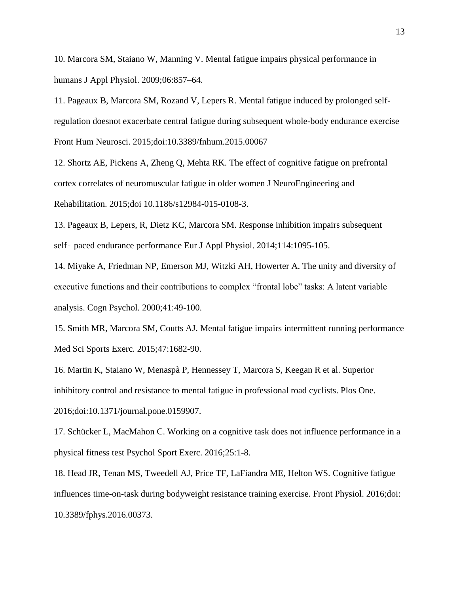10. Marcora SM, Staiano W, Manning V. Mental fatigue impairs physical performance in humans J Appl Physiol. 2009;06:857–64.

11. Pageaux B, Marcora SM, Rozand V, Lepers R. Mental fatigue induced by prolonged selfregulation doesnot exacerbate central fatigue during subsequent whole-body endurance exercise Front Hum Neurosci. 2015;doi:10.3389/fnhum.2015.00067

12. Shortz AE, Pickens A, Zheng Q, Mehta RK. The effect of cognitive fatigue on prefrontal cortex correlates of neuromuscular fatigue in older women J NeuroEngineering and Rehabilitation. 2015;doi 10.1186/s12984-015-0108-3.

13. Pageaux B, Lepers, R, Dietz KC, Marcora SM. Response inhibition impairs subsequent self- paced endurance performance Eur J Appl Physiol. 2014;114:1095-105.

14. Miyake A, Friedman NP, Emerson MJ, Witzki AH, Howerter A. The unity and diversity of executive functions and their contributions to complex "frontal lobe" tasks: A latent variable analysis. Cogn Psychol. 2000;41:49-100.

15. Smith MR, Marcora SM, Coutts AJ. Mental fatigue impairs intermittent running performance Med Sci Sports Exerc. 2015;47:1682-90.

16. Martin K, Staiano W, Menaspà P, Hennessey T, Marcora S, Keegan R et al. Superior inhibitory control and resistance to mental fatigue in professional road cyclists. Plos One. 2016;doi:10.1371/journal.pone.0159907.

17. Schücker L, MacMahon C. Working on a cognitive task does not influence performance in a physical fitness test Psychol Sport Exerc. 2016;25:1-8.

18. Head JR, Tenan MS, Tweedell AJ, Price TF, LaFiandra ME, Helton WS. Cognitive fatigue influences time-on-task during bodyweight resistance training exercise. Front Physiol. 2016;doi: 10.3389/fphys.2016.00373.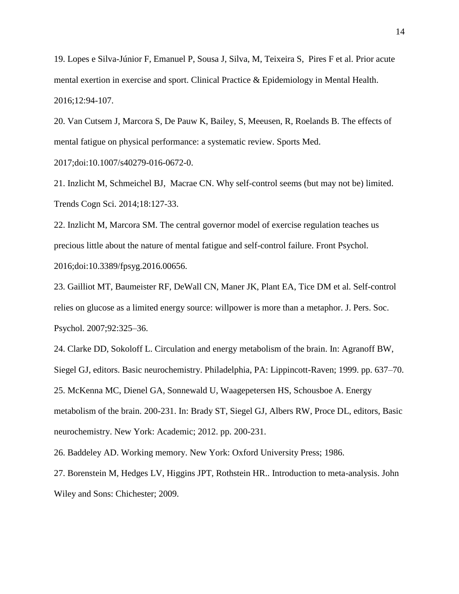19. Lopes e Silva-Júnior F, Emanuel P, Sousa J, Silva, M, Teixeira S, Pires F et al. Prior acute mental exertion in exercise and sport. Clinical Practice & Epidemiology in Mental Health. 2016;12:94-107.

20. Van Cutsem J, Marcora S, De Pauw K, Bailey, S, Meeusen, R, Roelands B. The effects of mental fatigue on physical performance: a systematic review. Sports Med. 2017;doi:10.1007/s40279-016-0672-0.

21. [Inzlicht M,](https://www.ncbi.nlm.nih.gov/pubmed/?term=Inzlicht%20M%5BAuthor%5D&cauthor=true&cauthor_uid=24439530) [Schmeichel BJ,](https://www.ncbi.nlm.nih.gov/pubmed/?term=Schmeichel%20BJ%5BAuthor%5D&cauthor=true&cauthor_uid=24439530) [Macrae CN.](https://www.ncbi.nlm.nih.gov/pubmed/?term=Macrae%20CN%5BAuthor%5D&cauthor=true&cauthor_uid=24439530) Why self-control seems (but may not be) limited. [Trends Cogn Sci.](https://www.ncbi.nlm.nih.gov/pubmed?term=((Inzlicht%20M%5BAuthor%5D)%20AND%20fatigue)%20AND%20(%222014%2F01%2F01%22%5BDate%20-%20Publication%5D%20%3A%20%222015%2F01%2F01%22%5BDate%20-%20Publication%5D)) 2014;18:127-33.

22. Inzlicht M, Marcora SM. The central governor model of exercise regulation teaches us precious little about the nature of mental fatigue and self-control failure. Front Psychol. 2016;doi:10.3389/fpsyg.2016.00656.

23. Gailliot MT, Baumeister RF, DeWall CN, Maner JK, Plant EA, Tice DM et al. Self-control relies on glucose as a limited energy source: willpower is more than a metaphor. J. Pers. Soc. Psychol. 2007;92:325–36.

24. Clarke DD, Sokoloff L. Circulation and energy metabolism of the brain. In: Agranoff BW, Siegel GJ, editors. Basic neurochemistry. Philadelphia, PA: Lippincott-Raven; 1999. pp. 637–70. 25. McKenna MC, Dienel GA, Sonnewald U, Waagepetersen HS, Schousboe A. Energy metabolism of the brain. 200-231. In: Brady ST, Siegel GJ, Albers RW, Proce DL, editors, Basic neurochemistry. New York: Academic; 2012. pp. 200-231.

26. Baddeley AD. Working memory. New York: Oxford University Press; 1986.

27. Borenstein M, Hedges LV, Higgins JPT, Rothstein HR.. Introduction to meta-analysis. John Wiley and Sons: Chichester; 2009.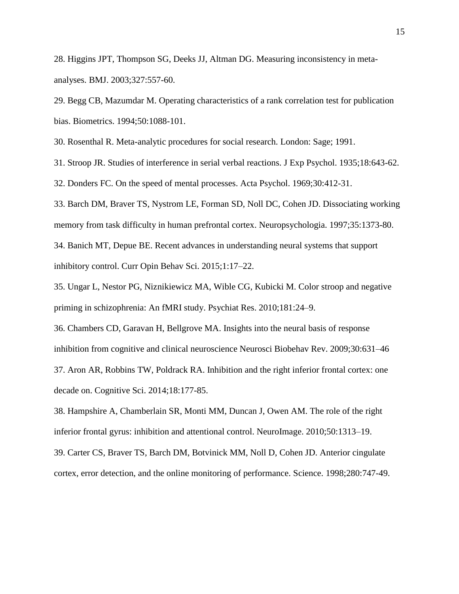28. Higgins JPT, Thompson SG, Deeks JJ, Altman DG. Measuring inconsistency in metaanalyses. BMJ. 2003;327:557-60.

29. Begg CB, Mazumdar M. Operating characteristics of a rank correlation test for publication bias. Biometrics. 1994;50:1088-101.

30. Rosenthal R. Meta-analytic procedures for social research. London: Sage; 1991.

31. Stroop JR. Studies of interference in serial verbal reactions. J Exp Psychol. 1935;18:643-62.

32. Donders FC. On the speed of mental processes. Acta Psychol. 1969;30:412-31.

33. [Barch DM,](https://www.ncbi.nlm.nih.gov/pubmed/?term=Barch%20DM%5BAuthor%5D&cauthor=true&cauthor_uid=9347483) [Braver TS,](https://www.ncbi.nlm.nih.gov/pubmed/?term=Braver%20TS%5BAuthor%5D&cauthor=true&cauthor_uid=9347483) [Nystrom LE,](https://www.ncbi.nlm.nih.gov/pubmed/?term=Nystrom%20LE%5BAuthor%5D&cauthor=true&cauthor_uid=9347483) [Forman SD,](https://www.ncbi.nlm.nih.gov/pubmed/?term=Forman%20SD%5BAuthor%5D&cauthor=true&cauthor_uid=9347483) [Noll DC,](https://www.ncbi.nlm.nih.gov/pubmed/?term=Noll%20DC%5BAuthor%5D&cauthor=true&cauthor_uid=9347483) [Cohen JD.](https://www.ncbi.nlm.nih.gov/pubmed/?term=Cohen%20JD%5BAuthor%5D&cauthor=true&cauthor_uid=9347483) Dissociating working memory from task difficulty in human prefrontal cortex. [Neuropsychologia.](https://www.ncbi.nlm.nih.gov/pubmed?term=((Barch%5BAuthor%5D)%20AND%20working%20memory)%20AND%20(%221997%2F01%2F01%22%5BDate%20-%20Publication%5D%20%3A%20%221998%2F01%2F01%22%5BDate%20-%20Publication%5D)) 1997;35:1373-80. 34. Banich MT, Depue BE. Recent advances in understanding neural systems that support inhibitory control. Curr Opin Behav Sci. 2015;1:17–22.

35. Ungar L, Nestor PG, Niznikiewicz MA, Wible CG, Kubicki M. Color stroop and negative priming in schizophrenia: An fMRI study. Psychiat Res. 2010;181:24–9.

36. Chambers CD, Garavan H, Bellgrove MA. Insights into the neural basis of response inhibition from cognitive and clinical neuroscience Neurosci Biobehav Rev. 2009;30:631–46 37. Aron AR, Robbins TW, Poldrack RA. Inhibition and the right inferior frontal cortex: one decade on. Cognitive Sci. 2014;18:177-85.

38. Hampshire A, Chamberlain SR, Monti MM, Duncan J, Owen AM. The role of the right inferior frontal gyrus: inhibition and attentional control. NeuroImage. 2010;50:1313–19.

39. Carter CS, Braver TS, Barch DM, Botvinick MM, Noll D, Cohen JD. Anterior cingulate cortex, error detection, and the online monitoring of performance. Science. 1998;280:747-49.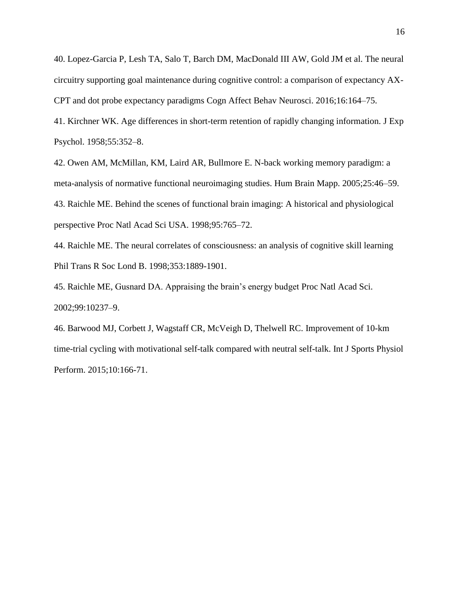40. Lopez-Garcia P, Lesh TA, Salo T, Barch DM, MacDonald III AW, Gold JM et al. The neural circuitry supporting goal maintenance during cognitive control: a comparison of expectancy AX-CPT and dot probe expectancy paradigms Cogn Affect Behav Neurosci. 2016;16:164–75.

41. Kirchner WK. Age differences in short-term retention of rapidly changing information. J Exp Psychol. 1958;55:352–8.

42. Owen AM, McMillan, KM, Laird AR, Bullmore E. N-back working memory paradigm: a meta-analysis of normative functional neuroimaging studies. Hum Brain Mapp. 2005;25:46–59. 43. Raichle ME. Behind the scenes of functional brain imaging: A historical and physiological perspective Proc Natl Acad Sci USA. 1998;95:765–72.

44. Raichle ME. The neural correlates of consciousness: an analysis of cognitive skill learning Phil Trans R Soc Lond B. 1998;353:1889-1901.

45. Raichle ME, Gusnard DA. Appraising the brain's energy budget Proc Natl Acad Sci. 2002;99:10237–9.

46. Barwood MJ, Corbett J, Wagstaff CR, McVeigh D, Thelwell RC. [Improvement of 10-km](https://www.ncbi.nlm.nih.gov/pubmed/25010539)  [time-trial cycling with motivational self-talk compared with neutral self-talk.](https://www.ncbi.nlm.nih.gov/pubmed/25010539) Int J Sports Physiol Perform. 2015;10:166-71.